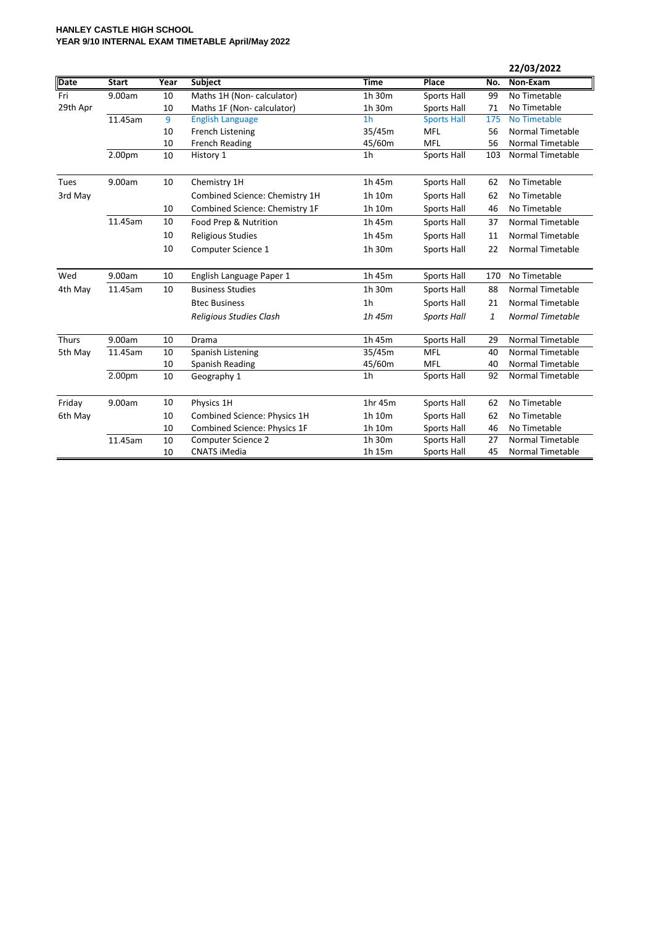## **HANLEY CASTLE HIGH SCHOOL YEAR 9/10 INTERNAL EXAM TIMETABLE April/May 2022**

|          |              |      |                                |                |                    |              | 22/03/2022              |
|----------|--------------|------|--------------------------------|----------------|--------------------|--------------|-------------------------|
| Date     | <b>Start</b> | Year | Subject                        | <b>Time</b>    | Place              | No.          | Non-Exam                |
| Fri      | 9.00am       | 10   | Maths 1H (Non-calculator)      | 1h 30m         | <b>Sports Hall</b> | 99           | No Timetable            |
| 29th Apr |              | 10   | Maths 1F (Non-calculator)      | 1h 30m         | Sports Hall        | 71           | No Timetable            |
|          | 11.45am      | 9    | <b>English Language</b>        | 1 <sub>h</sub> | <b>Sports Hall</b> | 175          | No Timetable            |
|          |              | 10   | French Listening               | 35/45m         | MFL                | 56           | <b>Normal Timetable</b> |
|          |              | 10   | <b>French Reading</b>          | 45/60m         | MFL                | 56           | <b>Normal Timetable</b> |
|          | 2.00pm       | 10   | History 1                      | 1 <sub>h</sub> | Sports Hall        | 103          | <b>Normal Timetable</b> |
| Tues     | 9.00am       | 10   | Chemistry 1H                   | 1h 45m         | Sports Hall        | 62           | No Timetable            |
| 3rd May  |              |      | Combined Science: Chemistry 1H | 1h 10m         | Sports Hall        | 62           | No Timetable            |
|          |              | 10   | Combined Science: Chemistry 1F | 1h 10m         | Sports Hall        | 46           | No Timetable            |
|          | 11.45am      | 10   | Food Prep & Nutrition          | 1h 45m         | Sports Hall        | 37           | <b>Normal Timetable</b> |
|          |              | 10   | <b>Religious Studies</b>       | 1h 45m         | Sports Hall        | 11           | <b>Normal Timetable</b> |
|          |              | 10   | Computer Science 1             | 1h 30m         | Sports Hall        | 22           | <b>Normal Timetable</b> |
| Wed      | 9.00am       | 10   | English Language Paper 1       | 1h 45m         | Sports Hall        | 170          | No Timetable            |
| 4th May  | 11.45am      | 10   | <b>Business Studies</b>        | 1h 30m         | Sports Hall        | 88           | <b>Normal Timetable</b> |
|          |              |      | <b>Btec Business</b>           | 1 <sub>h</sub> | Sports Hall        | 21           | <b>Normal Timetable</b> |
|          |              |      | Religious Studies Clash        | 1h 45m         | <b>Sports Hall</b> | $\mathbf{1}$ | <b>Normal Timetable</b> |
| Thurs    | 9.00am       | 10   | Drama                          | 1h 45m         | Sports Hall        | 29           | Normal Timetable        |
| 5th May  | 11.45am      | 10   | Spanish Listening              | 35/45m         | MFL                | 40           | Normal Timetable        |
|          |              | 10   | Spanish Reading                | 45/60m         | <b>MFL</b>         | 40           | <b>Normal Timetable</b> |
|          | 2.00pm       | 10   | Geography 1                    | 1 <sub>h</sub> | Sports Hall        | 92           | Normal Timetable        |
| Friday   | 9.00am       | 10   | Physics 1H                     | 1hr 45m        | Sports Hall        | 62           | No Timetable            |
| 6th May  |              | 10   | Combined Science: Physics 1H   | 1h 10m         | Sports Hall        | 62           | No Timetable            |
|          |              | 10   | Combined Science: Physics 1F   | 1h 10m         | Sports Hall        | 46           | No Timetable            |
|          | 11.45am      | 10   | <b>Computer Science 2</b>      | 1h 30m         | <b>Sports Hall</b> | 27           | <b>Normal Timetable</b> |
|          |              | 10   | <b>CNATS iMedia</b>            | 1h 15m         | <b>Sports Hall</b> | 45           | <b>Normal Timetable</b> |